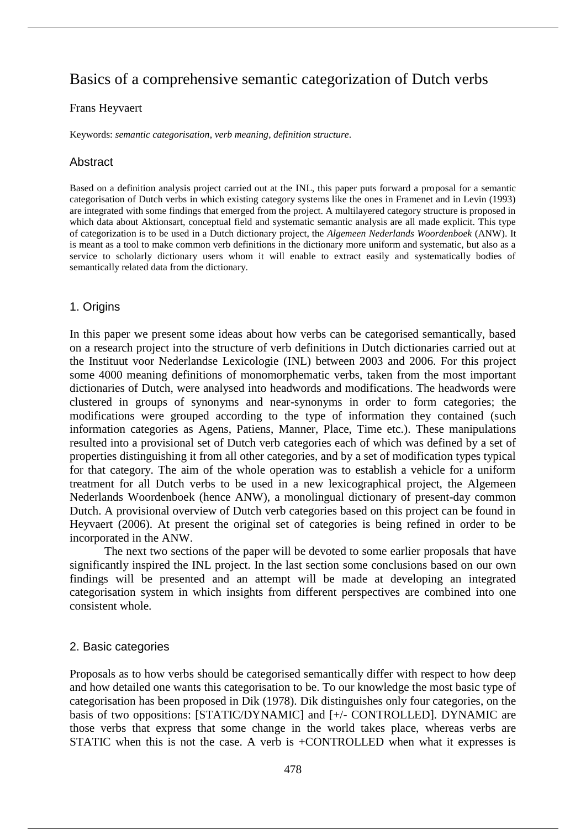# Basics of a comprehensive semantic categorization of Dutch verbs

#### Frans Heyvaert

Keywords: *semantic categorisation*, *verb meaning*, *definition structure*.

# Abstract

Based on a definition analysis project carried out at the INL, this paper puts forward a proposal for a semantic categorisation of Dutch verbs in which existing category systems like the ones in Framenet and in Levin (1993) are integrated with some findings that emerged from the project. A multilayered category structure is proposed in which data about Aktionsart, conceptual field and systematic semantic analysis are all made explicit. This type of categorization is to be used in a Dutch dictionary project, the *Algemeen Nederlands Woordenboek* (ANW). It is meant as a tool to make common verb definitions in the dictionary more uniform and systematic, but also as a service to scholarly dictionary users whom it will enable to extract easily and systematically bodies of semantically related data from the dictionary.

## 1. Origins

In this paper we present some ideas about how verbs can be categorised semantically, based on a research project into the structure of verb definitions in Dutch dictionaries carried out at the Instituut voor Nederlandse Lexicologie (INL) between 2003 and 2006. For this project some 4000 meaning definitions of monomorphematic verbs, taken from the most important dictionaries of Dutch, were analysed into headwords and modifications. The headwords were clustered in groups of synonyms and near-synonyms in order to form categories; the modifications were grouped according to the type of information they contained (such information categories as Agens, Patiens, Manner, Place, Time etc.). These manipulations resulted into a provisional set of Dutch verb categories each of which was defined by a set of properties distinguishing it from all other categories, and by a set of modification types typical for that category. The aim of the whole operation was to establish a vehicle for a uniform treatment for all Dutch verbs to be used in a new lexicographical project, the Algemeen Nederlands Woordenboek (hence ANW), a monolingual dictionary of present-day common Dutch. A provisional overview of Dutch verb categories based on this project can be found in Heyvaert (2006). At present the original set of categories is being refined in order to be incorporated in the ANW.

The next two sections of the paper will be devoted to some earlier proposals that have significantly inspired the INL project. In the last section some conclusions based on our own findings will be presented and an attempt will be made at developing an integrated categorisation system in which insights from different perspectives are combined into one consistent whole.

## 2. Basic categories

Proposals as to how verbs should be categorised semantically differ with respect to how deep and how detailed one wants this categorisation to be. To our knowledge the most basic type of categorisation has been proposed in Dik (1978). Dik distinguishes only four categories, on the basis of two oppositions: [STATIC/DYNAMIC] and [+/- CONTROLLED]. DYNAMIC are those verbs that express that some change in the world takes place, whereas verbs are STATIC when this is not the case. A verb is +CONTROLLED when what it expresses is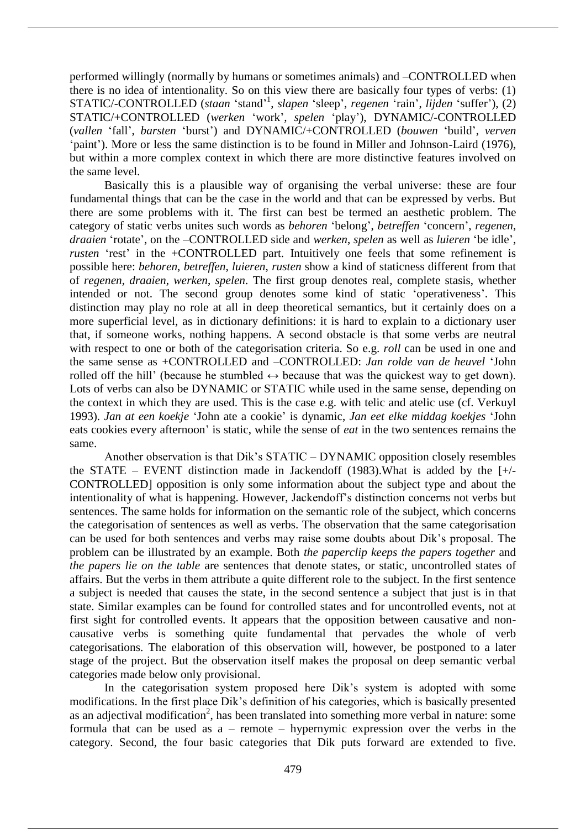performed willingly (normally by humans or sometimes animals) and –CONTROLLED when there is no idea of intentionality. So on this view there are basically four types of verbs: (1) STATIC/-CONTROLLED (*staan* 'stand' 1 , *slapen* 'sleep', *regenen* 'rain', *lijden* 'suffer'), (2) STATIC/+CONTROLLED (*werken* 'work', *spelen* 'play'), DYNAMIC/-CONTROLLED (*vallen* 'fall', *barsten* 'burst') and DYNAMIC/+CONTROLLED (*bouwen* 'build', *verven* 'paint'). More or less the same distinction is to be found in Miller and Johnson-Laird (1976), but within a more complex context in which there are more distinctive features involved on the same level.

Basically this is a plausible way of organising the verbal universe: these are four fundamental things that can be the case in the world and that can be expressed by verbs. But there are some problems with it. The first can best be termed an aesthetic problem. The category of static verbs unites such words as *behoren* 'belong', *betreffen* 'concern', *regenen*, *draaien* 'rotate', on the –CONTROLLED side and *werken*, *spelen* as well as *luieren* 'be idle', *rusten* 'rest' in the +CONTROLLED part. Intuitively one feels that some refinement is possible here: *behoren*, *betreffen*, *luieren*, *rusten* show a kind of staticness different from that of *regenen*, *draaien*, *werken*, *spelen*. The first group denotes real, complete stasis, whether intended or not. The second group denotes some kind of static 'operativeness'. This distinction may play no role at all in deep theoretical semantics, but it certainly does on a more superficial level, as in dictionary definitions: it is hard to explain to a dictionary user that, if someone works, nothing happens. A second obstacle is that some verbs are neutral with respect to one or both of the categorisation criteria. So e.g. *roll* can be used in one and the same sense as +CONTROLLED and –CONTROLLED: *Jan rolde van de heuvel* 'John rolled off the hill' (because he stumbled  $\leftrightarrow$  because that was the quickest way to get down). Lots of verbs can also be DYNAMIC or STATIC while used in the same sense, depending on the context in which they are used. This is the case e.g. with telic and atelic use (cf. Verkuyl 1993). *Jan at een koekje* 'John ate a cookie' is dynamic, *Jan eet elke middag koekjes* 'John eats cookies every afternoon' is static, while the sense of *eat* in the two sentences remains the same.

Another observation is that Dik's STATIC – DYNAMIC opposition closely resembles the STATE – EVENT distinction made in Jackendoff (1983). What is added by the  $[+/$ CONTROLLED] opposition is only some information about the subject type and about the intentionality of what is happening. However, Jackendoff's distinction concerns not verbs but sentences. The same holds for information on the semantic role of the subject, which concerns the categorisation of sentences as well as verbs. The observation that the same categorisation can be used for both sentences and verbs may raise some doubts about Dik's proposal. The problem can be illustrated by an example. Both *the paperclip keeps the papers together* and *the papers lie on the table* are sentences that denote states, or static, uncontrolled states of affairs. But the verbs in them attribute a quite different role to the subject. In the first sentence a subject is needed that causes the state, in the second sentence a subject that just is in that state. Similar examples can be found for controlled states and for uncontrolled events, not at first sight for controlled events. It appears that the opposition between causative and noncausative verbs is something quite fundamental that pervades the whole of verb categorisations. The elaboration of this observation will, however, be postponed to a later stage of the project. But the observation itself makes the proposal on deep semantic verbal categories made below only provisional.

In the categorisation system proposed here Dik's system is adopted with some modifications. In the first place Dik's definition of his categories, which is basically presented as an adjectival modification<sup>2</sup>, has been translated into something more verbal in nature: some formula that can be used as a – remote – hypernymic expression over the verbs in the category. Second, the four basic categories that Dik puts forward are extended to five.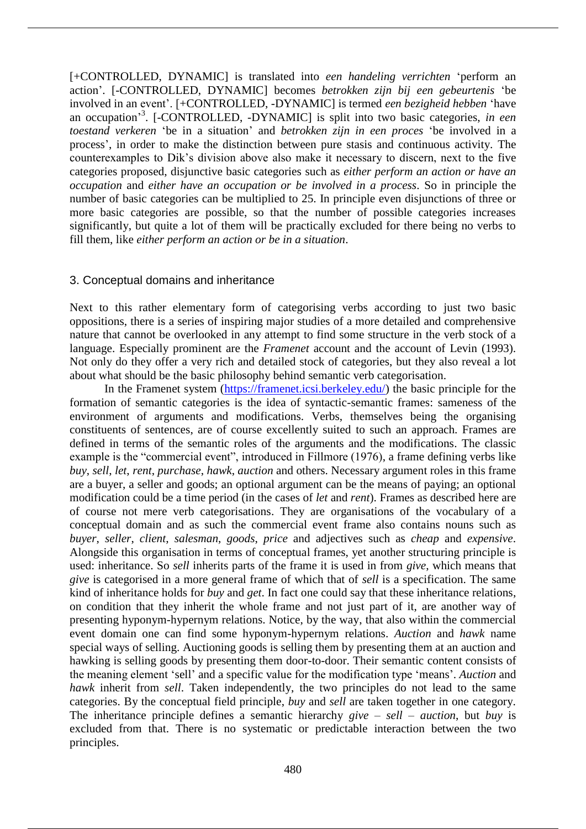[+CONTROLLED, DYNAMIC] is translated into *een handeling verrichten* 'perform an action'. [-CONTROLLED, DYNAMIC] becomes *betrokken zijn bij een gebeurtenis* 'be involved in an event'. [+CONTROLLED, -DYNAMIC] is termed *een bezigheid hebben* 'have an occupation' 3 . [-CONTROLLED, -DYNAMIC] is split into two basic categories, *in een toestand verkeren* 'be in a situation' and *betrokken zijn in een proces* 'be involved in a process', in order to make the distinction between pure stasis and continuous activity. The counterexamples to Dik's division above also make it necessary to discern, next to the five categories proposed, disjunctive basic categories such as *either perform an action or have an occupation* and *either have an occupation or be involved in a process*. So in principle the number of basic categories can be multiplied to 25. In principle even disjunctions of three or more basic categories are possible, so that the number of possible categories increases significantly, but quite a lot of them will be practically excluded for there being no verbs to fill them, like *either perform an action or be in a situation*.

# 3. Conceptual domains and inheritance

Next to this rather elementary form of categorising verbs according to just two basic oppositions, there is a series of inspiring major studies of a more detailed and comprehensive nature that cannot be overlooked in any attempt to find some structure in the verb stock of a language. Especially prominent are the *Framenet* account and the account of Levin (1993). Not only do they offer a very rich and detailed stock of categories, but they also reveal a lot about what should be the basic philosophy behind semantic verb categorisation.

In the Framenet system (https://framenet.icsi.berkeley.edu/) the basic principle for the formation of semantic categories is the idea of syntactic-semantic frames: sameness of the environment of arguments and modifications. Verbs, themselves being the organising constituents of sentences, are of course excellently suited to such an approach. Frames are defined in terms of the semantic roles of the arguments and the modifications. The classic example is the "commercial event", introduced in Fillmore (1976), a frame defining verbs like *buy*, *sell*, *let*, *rent*, *purchase*, *hawk*, *auction* and others. Necessary argument roles in this frame are a buyer, a seller and goods; an optional argument can be the means of paying; an optional modification could be a time period (in the cases of *let* and *rent*). Frames as described here are of course not mere verb categorisations. They are organisations of the vocabulary of a conceptual domain and as such the commercial event frame also contains nouns such as *buyer*, *seller*, *client*, *salesman*, *goods*, *price* and adjectives such as *cheap* and *expensive*. Alongside this organisation in terms of conceptual frames, yet another structuring principle is used: inheritance. So *sell* inherits parts of the frame it is used in from *give*, which means that *give* is categorised in a more general frame of which that of *sell* is a specification. The same kind of inheritance holds for *buy* and *get*. In fact one could say that these inheritance relations, on condition that they inherit the whole frame and not just part of it, are another way of presenting hyponym-hypernym relations. Notice, by the way, that also within the commercial event domain one can find some hyponym-hypernym relations. *Auction* and *hawk* name special ways of selling. Auctioning goods is selling them by presenting them at an auction and hawking is selling goods by presenting them door-to-door. Their semantic content consists of the meaning element 'sell' and a specific value for the modification type 'means'. *Auction* and *hawk* inherit from *sell*. Taken independently, the two principles do not lead to the same categories. By the conceptual field principle, *buy* and *sell* are taken together in one category. The inheritance principle defines a semantic hierarchy *give* – *sell* – *auction*, but *buy* is excluded from that. There is no systematic or predictable interaction between the two principles.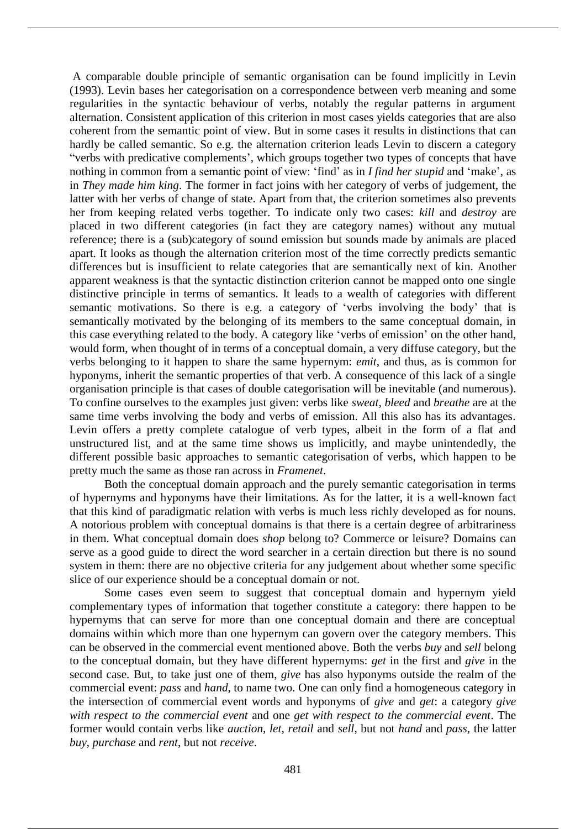A comparable double principle of semantic organisation can be found implicitly in Levin (1993). Levin bases her categorisation on a correspondence between verb meaning and some regularities in the syntactic behaviour of verbs, notably the regular patterns in argument alternation. Consistent application of this criterion in most cases yields categories that are also coherent from the semantic point of view. But in some cases it results in distinctions that can hardly be called semantic. So e.g. the alternation criterion leads Levin to discern a category "verbs with predicative complements', which groups together two types of concepts that have nothing in common from a semantic point of view: 'find' as in *I find her stupid* and 'make', as in *They made him king*. The former in fact joins with her category of verbs of judgement, the latter with her verbs of change of state. Apart from that, the criterion sometimes also prevents her from keeping related verbs together. To indicate only two cases: *kill* and *destroy* are placed in two different categories (in fact they are category names) without any mutual reference; there is a (sub)category of sound emission but sounds made by animals are placed apart. It looks as though the alternation criterion most of the time correctly predicts semantic differences but is insufficient to relate categories that are semantically next of kin. Another apparent weakness is that the syntactic distinction criterion cannot be mapped onto one single distinctive principle in terms of semantics. It leads to a wealth of categories with different semantic motivations. So there is e.g. a category of 'verbs involving the body' that is semantically motivated by the belonging of its members to the same conceptual domain, in this case everything related to the body. A category like 'verbs of emission' on the other hand, would form, when thought of in terms of a conceptual domain, a very diffuse category, but the verbs belonging to it happen to share the same hypernym: *emit*, and thus, as is common for hyponyms, inherit the semantic properties of that verb. A consequence of this lack of a single organisation principle is that cases of double categorisation will be inevitable (and numerous). To confine ourselves to the examples just given: verbs like *sweat*, *bleed* and *breathe* are at the same time verbs involving the body and verbs of emission. All this also has its advantages. Levin offers a pretty complete catalogue of verb types, albeit in the form of a flat and unstructured list, and at the same time shows us implicitly, and maybe unintendedly, the different possible basic approaches to semantic categorisation of verbs, which happen to be pretty much the same as those ran across in *Framenet*.

Both the conceptual domain approach and the purely semantic categorisation in terms of hypernyms and hyponyms have their limitations. As for the latter, it is a well-known fact that this kind of paradigmatic relation with verbs is much less richly developed as for nouns. A notorious problem with conceptual domains is that there is a certain degree of arbitrariness in them. What conceptual domain does *shop* belong to? Commerce or leisure? Domains can serve as a good guide to direct the word searcher in a certain direction but there is no sound system in them: there are no objective criteria for any judgement about whether some specific slice of our experience should be a conceptual domain or not.

Some cases even seem to suggest that conceptual domain and hypernym yield complementary types of information that together constitute a category: there happen to be hypernyms that can serve for more than one conceptual domain and there are conceptual domains within which more than one hypernym can govern over the category members. This can be observed in the commercial event mentioned above. Both the verbs *buy* and *sell* belong to the conceptual domain, but they have different hypernyms: *get* in the first and *give* in the second case. But, to take just one of them, *give* has also hyponyms outside the realm of the commercial event: *pass* and *hand*, to name two. One can only find a homogeneous category in the intersection of commercial event words and hyponyms of *give* and *get*: a category *give with respect to the commercial event* and one *get with respect to the commercial event*. The former would contain verbs like *auction*, *let*, *retail* and *sell*, but not *hand* and *pass*, the latter *buy*, *purchase* and *rent*, but not *receive*.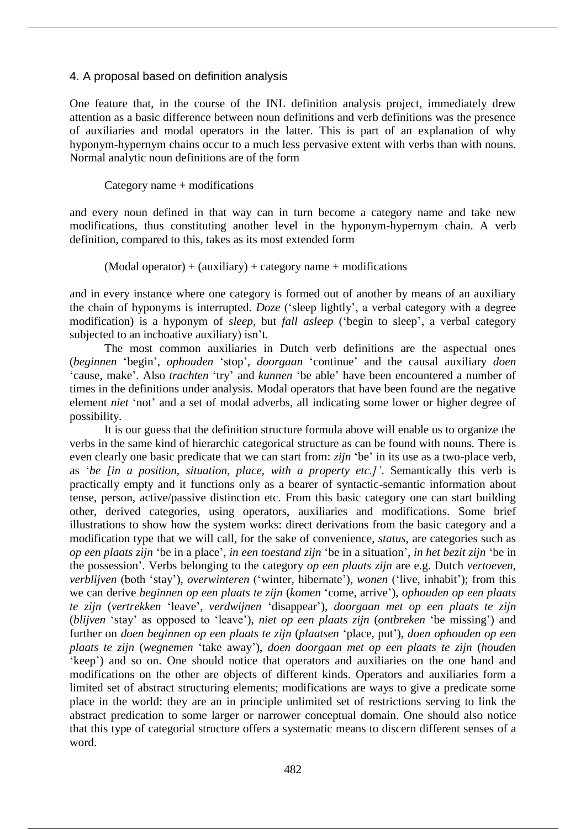#### 4. A proposal based on definition analysis

One feature that, in the course of the INL definition analysis project, immediately drew attention as a basic difference between noun definitions and verb definitions was the presence of auxiliaries and modal operators in the latter. This is part of an explanation of why hyponym-hypernym chains occur to a much less pervasive extent with verbs than with nouns. Normal analytic noun definitions are of the form

Category name + modifications

and every noun defined in that way can in turn become a category name and take new modifications, thus constituting another level in the hyponym-hypernym chain. A verb definition, compared to this, takes as its most extended form

 $(Modal operator) + (auxiliary) + category name + modifications$ 

and in every instance where one category is formed out of another by means of an auxiliary the chain of hyponyms is interrupted. *Doze* ('sleep lightly', a verbal category with a degree modification) is a hyponym of *sleep*, but *fall asleep* ('begin to sleep', a verbal category subjected to an inchoative auxiliary) isn't.

The most common auxiliaries in Dutch verb definitions are the aspectual ones (*beginnen* 'begin', *ophouden* 'stop', *doorgaan* 'continue' and the causal auxiliary *doen* 'cause, make'. Also *trachten* 'try' and *kunnen* 'be able' have been encountered a number of times in the definitions under analysis. Modal operators that have been found are the negative element *niet* 'not' and a set of modal adverbs, all indicating some lower or higher degree of possibility.

It is our guess that the definition structure formula above will enable us to organize the verbs in the same kind of hierarchic categorical structure as can be found with nouns. There is even clearly one basic predicate that we can start from: *zijn* 'be' in its use as a two-place verb, as '*be [in a position, situation, place, with a property etc.]'*. Semantically this verb is practically empty and it functions only as a bearer of syntactic-semantic information about tense, person, active/passive distinction etc. From this basic category one can start building other, derived categories, using operators, auxiliaries and modifications. Some brief illustrations to show how the system works: direct derivations from the basic category and a modification type that we will call, for the sake of convenience, *status*, are categories such as *op een plaats zijn* 'be in a place', *in een toestand zijn* 'be in a situation', *in het bezit zijn* 'be in the possession'. Verbs belonging to the category *op een plaats zijn* are e.g. Dutch *vertoeven*, *verblijven* (both 'stay'), *overwinteren* ('winter, hibernate'), *wonen* ('live, inhabit'); from this we can derive *beginnen op een plaats te zijn* (*komen* 'come, arrive'), *ophouden op een plaats te zijn* (*vertrekken* 'leave', *verdwijnen* 'disappear'), *doorgaan met op een plaats te zijn* (*blijven* 'stay' as opposed to 'leave'), *niet op een plaats zijn* (*ontbreken* 'be missing') and further on *doen beginnen op een plaats te zijn* (*plaatsen* 'place, put'), *doen ophouden op een plaats te zijn* (*wegnemen* 'take away'), *doen doorgaan met op een plaats te zijn* (*houden* 'keep') and so on. One should notice that operators and auxiliaries on the one hand and modifications on the other are objects of different kinds. Operators and auxiliaries form a limited set of abstract structuring elements; modifications are ways to give a predicate some place in the world: they are an in principle unlimited set of restrictions serving to link the abstract predication to some larger or narrower conceptual domain. One should also notice that this type of categorial structure offers a systematic means to discern different senses of a word.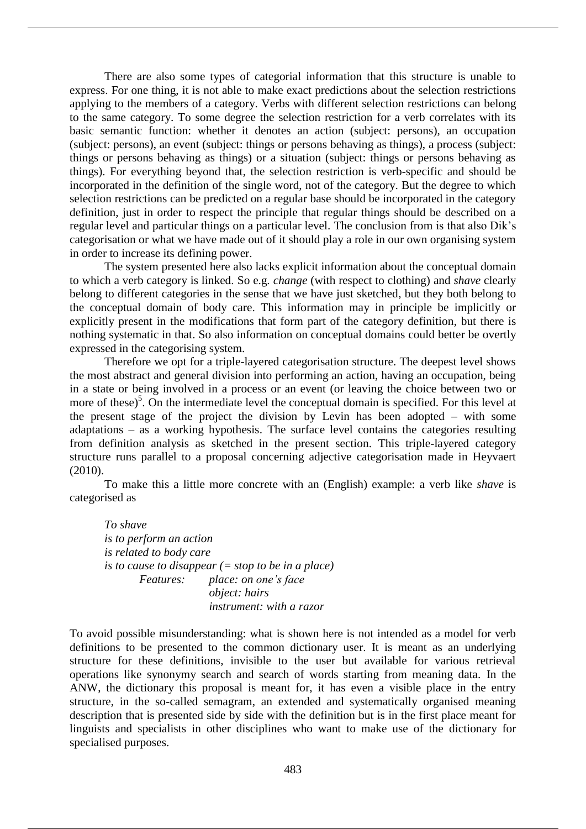There are also some types of categorial information that this structure is unable to express. For one thing, it is not able to make exact predictions about the selection restrictions applying to the members of a category. Verbs with different selection restrictions can belong to the same category. To some degree the selection restriction for a verb correlates with its basic semantic function: whether it denotes an action (subject: persons), an occupation (subject: persons), an event (subject: things or persons behaving as things), a process (subject: things or persons behaving as things) or a situation (subject: things or persons behaving as things). For everything beyond that, the selection restriction is verb-specific and should be incorporated in the definition of the single word, not of the category. But the degree to which selection restrictions can be predicted on a regular base should be incorporated in the category definition, just in order to respect the principle that regular things should be described on a regular level and particular things on a particular level. The conclusion from is that also Dik's categorisation or what we have made out of it should play a role in our own organising system in order to increase its defining power.

The system presented here also lacks explicit information about the conceptual domain to which a verb category is linked. So e.g. *change* (with respect to clothing) and *shave* clearly belong to different categories in the sense that we have just sketched, but they both belong to the conceptual domain of body care. This information may in principle be implicitly or explicitly present in the modifications that form part of the category definition, but there is nothing systematic in that. So also information on conceptual domains could better be overtly expressed in the categorising system.

Therefore we opt for a triple-layered categorisation structure. The deepest level shows the most abstract and general division into performing an action, having an occupation, being in a state or being involved in a process or an event (or leaving the choice between two or more of these)<sup>5</sup>. On the intermediate level the conceptual domain is specified. For this level at the present stage of the project the division by Levin has been adopted – with some adaptations – as a working hypothesis. The surface level contains the categories resulting from definition analysis as sketched in the present section. This triple-layered category structure runs parallel to a proposal concerning adjective categorisation made in Heyvaert (2010).

To make this a little more concrete with an (English) example: a verb like *shave* is categorised as

*To shave is to perform an action is related to body care is to cause to disappear (= stop to be in a place) Features: place: on one's face object: hairs instrument: with a razor* 

To avoid possible misunderstanding: what is shown here is not intended as a model for verb definitions to be presented to the common dictionary user. It is meant as an underlying structure for these definitions, invisible to the user but available for various retrieval operations like synonymy search and search of words starting from meaning data. In the ANW, the dictionary this proposal is meant for, it has even a visible place in the entry structure, in the so-called semagram, an extended and systematically organised meaning description that is presented side by side with the definition but is in the first place meant for linguists and specialists in other disciplines who want to make use of the dictionary for specialised purposes.